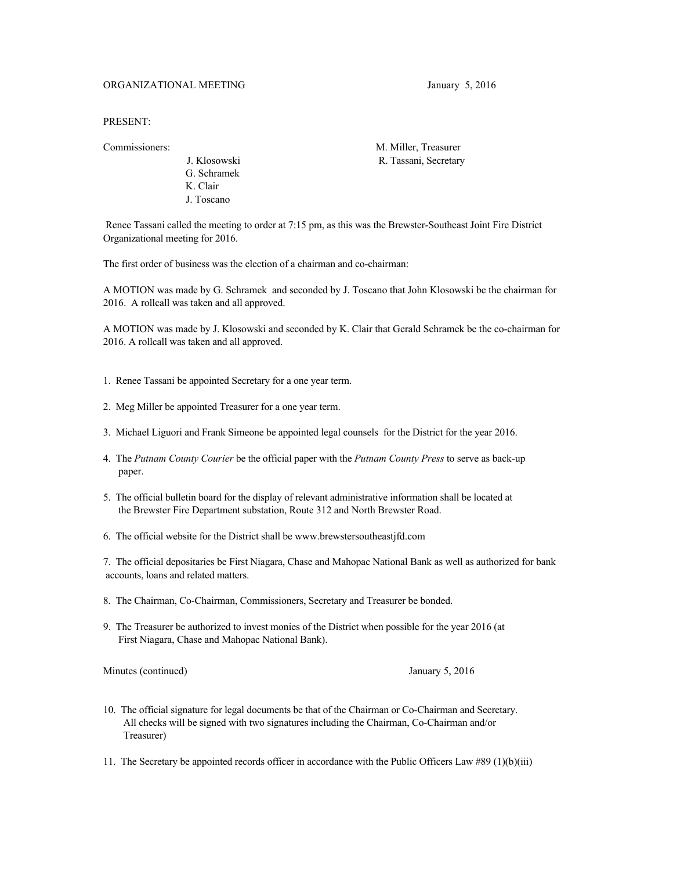## ORGANIZATIONAL MEETING January 5, 2016

PRESENT:

 G. Schramek K. Clair J. Toscano

Commissioners: M. Miller, Treasurer J. Klosowski R. Tassani, Secretary

 Renee Tassani called the meeting to order at 7:15 pm, as this was the Brewster-Southeast Joint Fire District Organizational meeting for 2016.

The first order of business was the election of a chairman and co-chairman:

A MOTION was made by G. Schramek and seconded by J. Toscano that John Klosowski be the chairman for 2016. A rollcall was taken and all approved.

A MOTION was made by J. Klosowski and seconded by K. Clair that Gerald Schramek be the co-chairman for 2016. A rollcall was taken and all approved.

- 1. Renee Tassani be appointed Secretary for a one year term.
- 2. Meg Miller be appointed Treasurer for a one year term.
- 3. Michael Liguori and Frank Simeone be appointed legal counsels for the District for the year 2016.
- 4. The *Putnam County Courier* be the official paper with the *Putnam County Press* to serve as back-up paper.
- 5. The official bulletin board for the display of relevant administrative information shall be located at the Brewster Fire Department substation, Route 312 and North Brewster Road.
- 6. The official website for the District shall be [www.brewstersoutheastjfd.com](http://www.brewstersoutheastjfd.com/)

7. The official depositaries be First Niagara, Chase and Mahopac National Bank as well as authorized for bank accounts, loans and related matters.

- 8. The Chairman, Co-Chairman, Commissioners, Secretary and Treasurer be bonded.
- 9. The Treasurer be authorized to invest monies of the District when possible for the year 2016 (at First Niagara, Chase and Mahopac National Bank).

Minutes (continued) January 5, 2016

10. The official signature for legal documents be that of the Chairman or Co-Chairman and Secretary. All checks will be signed with two signatures including the Chairman, Co-Chairman and/or Treasurer)

11. The Secretary be appointed records officer in accordance with the Public Officers Law #89 (1)(b)(iii)